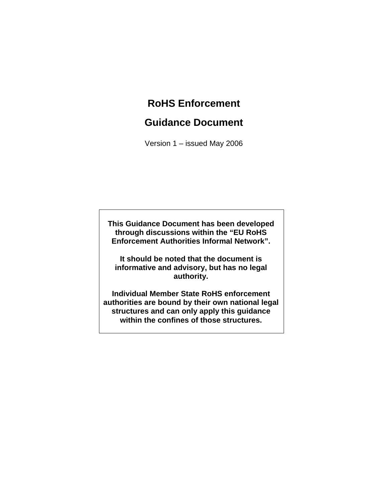# **RoHS Enforcement**

# **Guidance Document**

Version 1 – issued May 2006

**This Guidance Document has been developed through discussions within the "EU RoHS Enforcement Authorities Informal Network".** 

**It should be noted that the document is informative and advisory, but has no legal authority.** 

**Individual Member State RoHS enforcement authorities are bound by their own national legal structures and can only apply this guidance within the confines of those structures.**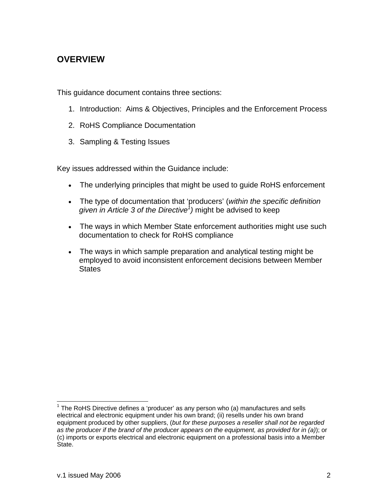# **OVERVIEW**

This guidance document contains three sections:

- 1. Introduction: Aims & Objectives, Principles and the Enforcement Process
- 2. RoHS Compliance Documentation
- 3. Sampling & Testing Issues

Key issues addressed within the Guidance include:

- The underlying principles that might be used to guide RoHS enforcement
- The type of documentation that 'producers' (*within the specific definition given in Article 3 of the Directive<sup>1</sup>*) might be advised to keep
- The ways in which Member State enforcement authorities might use such documentation to check for RoHS compliance
- The ways in which sample preparation and analytical testing might be employed to avoid inconsistent enforcement decisions between Member **States**

  $1$  The RoHS Directive defines a 'producer' as any person who (a) manufactures and sells electrical and electronic equipment under his own brand; (ii) resells under his own brand equipment produced by other suppliers, (*but for these purposes a reseller shall not be regarded as the producer if the brand of the producer appears on the equipment, as provided for in (a)*); or (c) imports or exports electrical and electronic equipment on a professional basis into a Member State.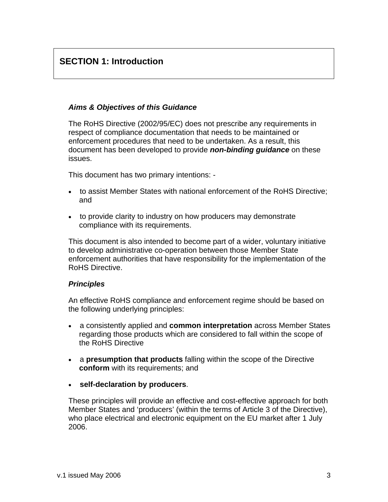# **SECTION 1: Introduction**

### *Aims & Objectives of this Guidance*

The RoHS Directive (2002/95/EC) does not prescribe any requirements in respect of compliance documentation that needs to be maintained or enforcement procedures that need to be undertaken. As a result, this document has been developed to provide *non-binding guidance* on these issues.

This document has two primary intentions: -

- to assist Member States with national enforcement of the RoHS Directive; and
- to provide clarity to industry on how producers may demonstrate compliance with its requirements.

This document is also intended to become part of a wider, voluntary initiative to develop administrative co-operation between those Member State enforcement authorities that have responsibility for the implementation of the RoHS Directive.

### *Principles*

An effective RoHS compliance and enforcement regime should be based on the following underlying principles:

- a consistently applied and **common interpretation** across Member States regarding those products which are considered to fall within the scope of the RoHS Directive
- a **presumption that products** falling within the scope of the Directive **conform** with its requirements; and
- **self-declaration by producers**.

These principles will provide an effective and cost-effective approach for both Member States and 'producers' (within the terms of Article 3 of the Directive), who place electrical and electronic equipment on the EU market after 1 July 2006.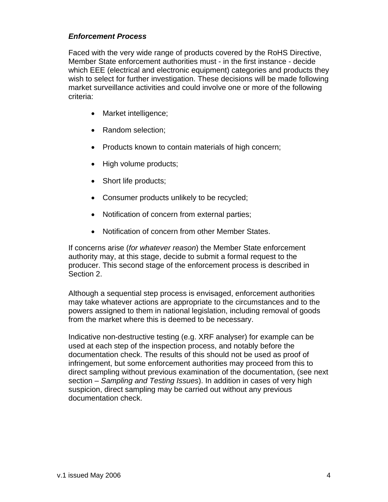### *Enforcement Process*

Faced with the very wide range of products covered by the RoHS Directive, Member State enforcement authorities must - in the first instance - decide which EEE (electrical and electronic equipment) categories and products they wish to select for further investigation. These decisions will be made following market surveillance activities and could involve one or more of the following criteria:

- Market intelligence;
- Random selection;
- Products known to contain materials of high concern;
- High volume products;
- Short life products;
- Consumer products unlikely to be recycled;
- Notification of concern from external parties;
- Notification of concern from other Member States.

If concerns arise (*for whatever reason*) the Member State enforcement authority may, at this stage, decide to submit a formal request to the producer. This second stage of the enforcement process is described in Section 2.

Although a sequential step process is envisaged, enforcement authorities may take whatever actions are appropriate to the circumstances and to the powers assigned to them in national legislation, including removal of goods from the market where this is deemed to be necessary.

Indicative non-destructive testing (e.g. XRF analyser) for example can be used at each step of the inspection process, and notably before the documentation check. The results of this should not be used as proof of infringement, but some enforcement authorities may proceed from this to direct sampling without previous examination of the documentation, (see next section – *Sampling and Testing Issues*). In addition in cases of very high suspicion, direct sampling may be carried out without any previous documentation check.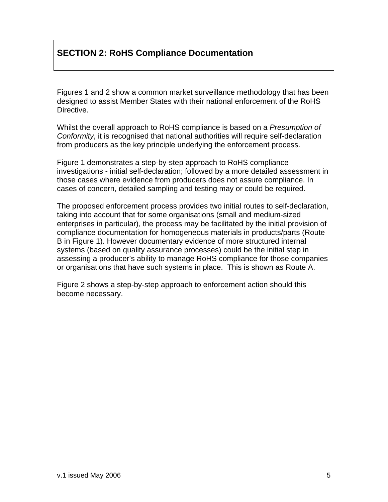# **SECTION 2: RoHS Compliance Documentation**

Figures 1 and 2 show a common market surveillance methodology that has been designed to assist Member States with their national enforcement of the RoHS Directive.

Whilst the overall approach to RoHS compliance is based on a *Presumption of Conformity*, it is recognised that national authorities will require self-declaration from producers as the key principle underlying the enforcement process.

Figure 1 demonstrates a step-by-step approach to RoHS compliance investigations - initial self-declaration; followed by a more detailed assessment in those cases where evidence from producers does not assure compliance. In cases of concern, detailed sampling and testing may or could be required.

The proposed enforcement process provides two initial routes to self-declaration, taking into account that for some organisations (small and medium-sized enterprises in particular), the process may be facilitated by the initial provision of compliance documentation for homogeneous materials in products/parts (Route B in Figure 1). However documentary evidence of more structured internal systems (based on quality assurance processes) could be the initial step in assessing a producer's ability to manage RoHS compliance for those companies or organisations that have such systems in place. This is shown as Route A.

Figure 2 shows a step-by-step approach to enforcement action should this become necessary.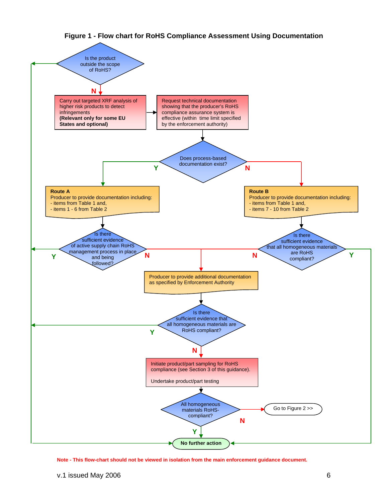

#### **Figure 1 - Flow chart for RoHS Compliance Assessment Using Documentation**

**Note - This flow-chart should not be viewed in isolation from the main enforcement guidance document.**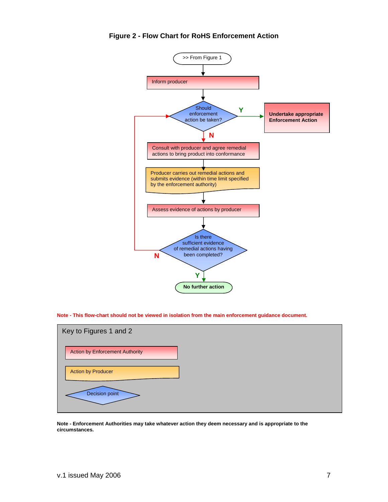

**Figure 2 - Flow Chart for RoHS Enforcement Action** 

**Note - This flow-chart should not be viewed in isolation from the main enforcement guidance document.** 



**Note - Enforcement Authorities may take whatever action they deem necessary and is appropriate to the circumstances.**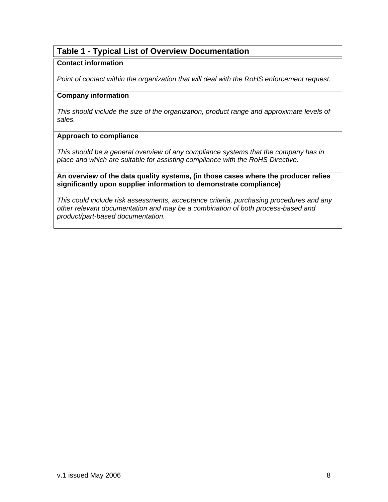## **Table 1 - Typical List of Overview Documentation**

#### **Contact information**

*Point of contact within the organization that will deal with the RoHS enforcement request.* 

#### **Company information**

*This should include the size of the organization, product range and approximate levels of sales.* 

#### **Approach to compliance**

*This should be a general overview of any compliance systems that the company has in place and which are suitable for assisting compliance with the RoHS Directive.* 

**An overview of the data quality systems, (in those cases where the producer relies significantly upon supplier information to demonstrate compliance)** 

*This could include risk assessments, acceptance criteria, purchasing procedures and any other relevant documentation and may be a combination of both process-based and product/part-based documentation.*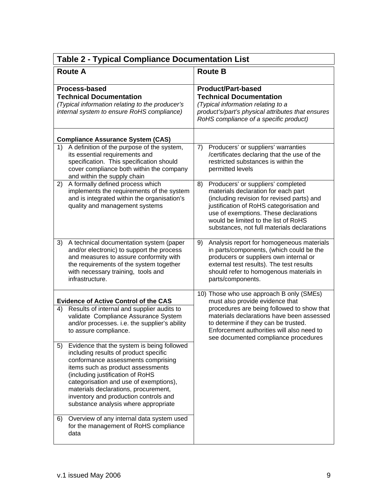| <b>Table 2 - Typical Compliance Documentation List</b>                                                                                                                                                                                                                                                                                                                                                                                                                          |                                                                                                                                                                                                                                                                                                           |
|---------------------------------------------------------------------------------------------------------------------------------------------------------------------------------------------------------------------------------------------------------------------------------------------------------------------------------------------------------------------------------------------------------------------------------------------------------------------------------|-----------------------------------------------------------------------------------------------------------------------------------------------------------------------------------------------------------------------------------------------------------------------------------------------------------|
| <b>Route A</b>                                                                                                                                                                                                                                                                                                                                                                                                                                                                  | <b>Route B</b>                                                                                                                                                                                                                                                                                            |
| Process-based<br><b>Technical Documentation</b><br>(Typical information relating to the producer's<br>internal system to ensure RoHS compliance)                                                                                                                                                                                                                                                                                                                                | <b>Product/Part-based</b><br><b>Technical Documentation</b><br>(Typical information relating to a<br>product's/part's physical attributes that ensures<br>RoHS compliance of a specific product)                                                                                                          |
| <b>Compliance Assurance System (CAS)</b>                                                                                                                                                                                                                                                                                                                                                                                                                                        |                                                                                                                                                                                                                                                                                                           |
| A definition of the purpose of the system,<br>1)<br>its essential requirements and<br>specification. This specification should<br>cover compliance both within the company<br>and within the supply chain                                                                                                                                                                                                                                                                       | Producers' or suppliers' warranties<br>7)<br>/certificates declaring that the use of the<br>restricted substances is within the<br>permitted levels                                                                                                                                                       |
| A formally defined process which<br>2)<br>implements the requirements of the system<br>and is integrated within the organisation's<br>quality and management systems                                                                                                                                                                                                                                                                                                            | Producers' or suppliers' completed<br>8)<br>materials declaration for each part<br>(including revision for revised parts) and<br>justification of RoHS categorisation and<br>use of exemptions. These declarations<br>would be limited to the list of RoHS<br>substances, not full materials declarations |
| A technical documentation system (paper<br>3)<br>and/or electronic) to support the process<br>and measures to assure conformity with<br>the requirements of the system together<br>with necessary training, tools and<br>infrastructure.                                                                                                                                                                                                                                        | Analysis report for homogeneous materials<br>9)<br>in parts/components, (which could be the<br>producers or suppliers own internal or<br>external test results). The test results<br>should refer to homogenous materials in<br>parts/components.                                                         |
| <b>Evidence of Active Control of the CAS</b>                                                                                                                                                                                                                                                                                                                                                                                                                                    | 10) Those who use approach B only (SMEs)<br>must also provide evidence that                                                                                                                                                                                                                               |
| Results of internal and supplier audits to<br>4)<br>validate Compliance Assurance System<br>and/or processes. i.e. the supplier's ability<br>to assure compliance.                                                                                                                                                                                                                                                                                                              | procedures are being followed to show that<br>materials declarations have been assessed<br>to determine if they can be trusted.<br>Enforcement authorities will also need to<br>see documented compliance procedures                                                                                      |
| Evidence that the system is being followed<br>5)<br>including results of product specific<br>conformance assessments comprising<br>items such as product assessments<br>(including justification of RoHS<br>categorisation and use of exemptions),<br>materials declarations, procurement,<br>inventory and production controls and<br>substance analysis where appropriate<br>Overview of any internal data system used<br>6)<br>for the management of RoHS compliance<br>data |                                                                                                                                                                                                                                                                                                           |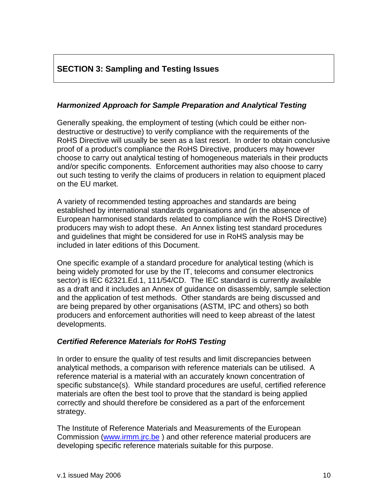# **SECTION 3: Sampling and Testing Issues**

### *Harmonized Approach for Sample Preparation and Analytical Testing*

Generally speaking, the employment of testing (which could be either nondestructive or destructive) to verify compliance with the requirements of the RoHS Directive will usually be seen as a last resort. In order to obtain conclusive proof of a product's compliance the RoHS Directive, producers may however choose to carry out analytical testing of homogeneous materials in their products and/or specific components. Enforcement authorities may also choose to carry out such testing to verify the claims of producers in relation to equipment placed on the EU market.

A variety of recommended testing approaches and standards are being established by international standards organisations and (in the absence of European harmonised standards related to compliance with the RoHS Directive) producers may wish to adopt these. An Annex listing test standard procedures and guidelines that might be considered for use in RoHS analysis may be included in later editions of this Document.

One specific example of a standard procedure for analytical testing (which is being widely promoted for use by the IT, telecoms and consumer electronics sector) is IEC 62321.Ed.1, 111/54/CD. The IEC standard is currently available as a draft and it includes an Annex of guidance on disassembly, sample selection and the application of test methods. Other standards are being discussed and are being prepared by other organisations (ASTM, IPC and others) so both producers and enforcement authorities will need to keep abreast of the latest developments.

### *Certified Reference Materials for RoHS Testing*

In order to ensure the quality of test results and limit discrepancies between analytical methods, a comparison with reference materials can be utilised. A reference material is a material with an accurately known concentration of specific substance(s). While standard procedures are useful, certified reference materials are often the best tool to prove that the standard is being applied correctly and should therefore be considered as a part of the enforcement strategy.

The Institute of Reference Materials and Measurements of the European Commission (www.irmm.jrc.be) and other reference material producers are developing specific reference materials suitable for this purpose.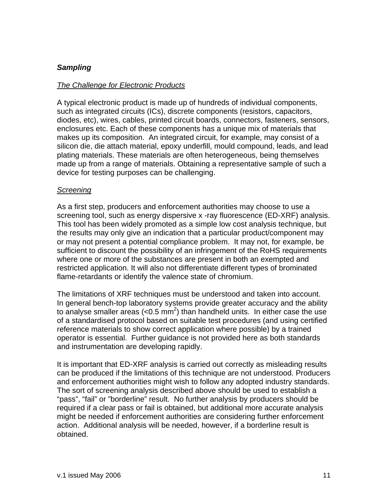### *Sampling*

### *The Challenge for Electronic Products*

A typical electronic product is made up of hundreds of individual components, such as integrated circuits (ICs), discrete components (resistors, capacitors, diodes, etc), wires, cables, printed circuit boards, connectors, fasteners, sensors, enclosures etc. Each of these components has a unique mix of materials that makes up its composition. An integrated circuit, for example, may consist of a silicon die, die attach material, epoxy underfill, mould compound, leads, and lead plating materials. These materials are often heterogeneous, being themselves made up from a range of materials. Obtaining a representative sample of such a device for testing purposes can be challenging.

#### *Screening*

As a first step, producers and enforcement authorities may choose to use a screening tool, such as energy dispersive x -ray fluorescence (ED-XRF) analysis. This tool has been widely promoted as a simple low cost analysis technique, but the results may only give an indication that a particular product/component may or may not present a potential compliance problem. It may not, for example, be sufficient to discount the possibility of an infringement of the RoHS requirements where one or more of the substances are present in both an exempted and restricted application. It will also not differentiate different types of brominated flame-retardants or identify the valence state of chromium.

The limitations of XRF techniques must be understood and taken into account. In general bench-top laboratory systems provide greater accuracy and the ability to analyse smaller areas  $\left($ <0.5 mm<sup>2</sup>) than handheld units. In either case the use of a standardised protocol based on suitable test procedures (and using certified reference materials to show correct application where possible) by a trained operator is essential. Further guidance is not provided here as both standards and instrumentation are developing rapidly.

It is important that ED-XRF analysis is carried out correctly as misleading results can be produced if the limitations of this technique are not understood. Producers and enforcement authorities might wish to follow any adopted industry standards. The sort of screening analysis described above should be used to establish a "pass", "fail" or "borderline" result. No further analysis by producers should be required if a clear pass or fail is obtained, but additional more accurate analysis might be needed if enforcement authorities are considering further enforcement action. Additional analysis will be needed, however, if a borderline result is obtained.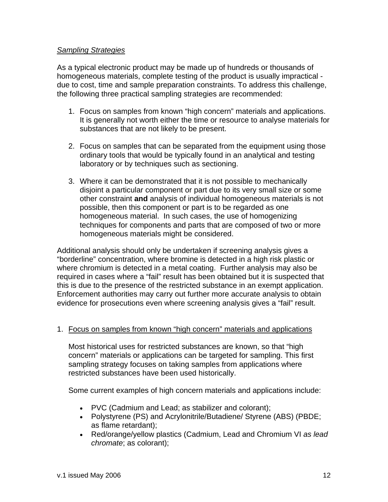### *Sampling Strategies*

As a typical electronic product may be made up of hundreds or thousands of homogeneous materials, complete testing of the product is usually impractical due to cost, time and sample preparation constraints. To address this challenge, the following three practical sampling strategies are recommended:

- 1. Focus on samples from known "high concern" materials and applications. It is generally not worth either the time or resource to analyse materials for substances that are not likely to be present.
- 2. Focus on samples that can be separated from the equipment using those ordinary tools that would be typically found in an analytical and testing laboratory or by techniques such as sectioning.
- 3. Where it can be demonstrated that it is not possible to mechanically disjoint a particular component or part due to its very small size or some other constraint **and** analysis of individual homogeneous materials is not possible, then this component or part is to be regarded as one homogeneous material. In such cases, the use of homogenizing techniques for components and parts that are composed of two or more homogeneous materials might be considered.

Additional analysis should only be undertaken if screening analysis gives a "borderline" concentration, where bromine is detected in a high risk plastic or where chromium is detected in a metal coating. Further analysis may also be required in cases where a "fail" result has been obtained but it is suspected that this is due to the presence of the restricted substance in an exempt application. Enforcement authorities may carry out further more accurate analysis to obtain evidence for prosecutions even where screening analysis gives a "fail" result.

### 1. Focus on samples from known "high concern" materials and applications

Most historical uses for restricted substances are known, so that "high concern" materials or applications can be targeted for sampling. This first sampling strategy focuses on taking samples from applications where restricted substances have been used historically.

Some current examples of high concern materials and applications include:

- PVC (Cadmium and Lead; as stabilizer and colorant);
- Polystyrene (PS) and Acrylonitrile/Butadiene/ Styrene (ABS) (PBDE; as flame retardant);
- Red/orange/yellow plastics (Cadmium, Lead and Chromium VI *as lead chromate*; as colorant);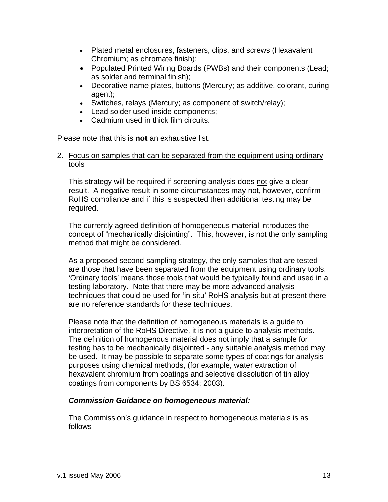- Plated metal enclosures, fasteners, clips, and screws (Hexavalent Chromium; as chromate finish);
- Populated Printed Wiring Boards (PWBs) and their components (Lead; as solder and terminal finish);
- Decorative name plates, buttons (Mercury; as additive, colorant, curing agent);
- Switches, relays (Mercury; as component of switch/relay);
- Lead solder used inside components;
- Cadmium used in thick film circuits.

Please note that this is **not** an exhaustive list.

### 2. Focus on samples that can be separated from the equipment using ordinary tools

This strategy will be required if screening analysis does not give a clear result. A negative result in some circumstances may not, however, confirm RoHS compliance and if this is suspected then additional testing may be required.

The currently agreed definition of homogeneous material introduces the concept of "mechanically disjointing". This, however, is not the only sampling method that might be considered.

As a proposed second sampling strategy, the only samples that are tested are those that have been separated from the equipment using ordinary tools. 'Ordinary tools' means those tools that would be typically found and used in a testing laboratory. Note that there may be more advanced analysis techniques that could be used for 'in-situ' RoHS analysis but at present there are no reference standards for these techniques.

Please note that the definition of homogeneous materials is a guide to interpretation of the RoHS Directive, it is not a guide to analysis methods. The definition of homogenous material does not imply that a sample for testing has to be mechanically disjointed - any suitable analysis method may be used. It may be possible to separate some types of coatings for analysis purposes using chemical methods, (for example, water extraction of hexavalent chromium from coatings and selective dissolution of tin alloy coatings from components by BS 6534; 2003).

### *Commission Guidance on homogeneous material:*

The Commission's guidance in respect to homogeneous materials is as follows -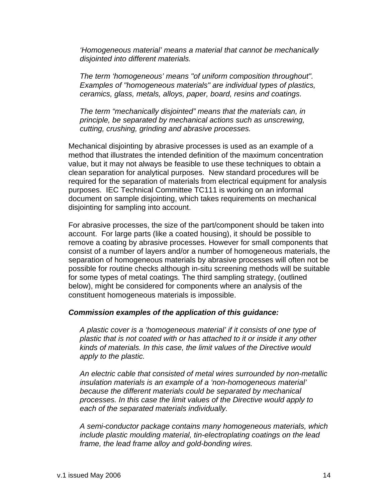*'Homogeneous material' means a material that cannot be mechanically disjointed into different materials.* 

*The term 'homogeneous' means "of uniform composition throughout". Examples of "homogeneous materials" are individual types of plastics, ceramics, glass, metals, alloys, paper, board, resins and coatings.* 

*The term "mechanically disjointed" means that the materials can, in principle, be separated by mechanical actions such as unscrewing, cutting, crushing, grinding and abrasive processes.* 

Mechanical disjointing by abrasive processes is used as an example of a method that illustrates the intended definition of the maximum concentration value, but it may not always be feasible to use these techniques to obtain a clean separation for analytical purposes. New standard procedures will be required for the separation of materials from electrical equipment for analysis purposes. IEC Technical Committee TC111 is working on an informal document on sample disjointing, which takes requirements on mechanical disjointing for sampling into account.

For abrasive processes, the size of the part/component should be taken into account. For large parts (like a coated housing), it should be possible to remove a coating by abrasive processes. However for small components that consist of a number of layers and/or a number of homogeneous materials, the separation of homogeneous materials by abrasive processes will often not be possible for routine checks although in-situ screening methods will be suitable for some types of metal coatings. The third sampling strategy, (outlined below), might be considered for components where an analysis of the constituent homogeneous materials is impossible.

### *Commission examples of the application of this guidance:*

*A plastic cover is a 'homogeneous material' if it consists of one type of plastic that is not coated with or has attached to it or inside it any other kinds of materials. In this case, the limit values of the Directive would apply to the plastic.* 

*An electric cable that consisted of metal wires surrounded by non-metallic insulation materials is an example of a 'non-homogeneous material' because the different materials could be separated by mechanical processes. In this case the limit values of the Directive would apply to each of the separated materials individually.* 

*A semi-conductor package contains many homogeneous materials, which include plastic moulding material, tin-electroplating coatings on the lead frame, the lead frame alloy and gold-bonding wires.*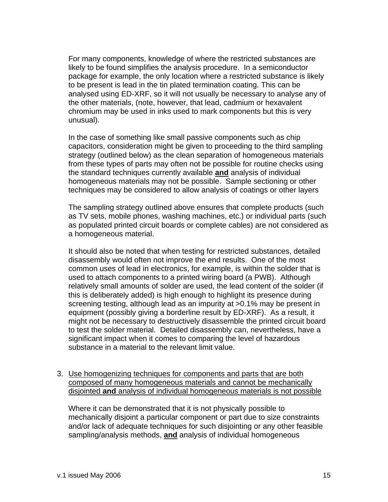For many components, knowledge of where the restricted substances are likely to be found simplifies the analysis procedure. In a semiconductor package for example, the only location where a restricted substance is likely to be present is lead in the tin plated termination coating. This can be analysed using ED-XRF, so it will not usually be necessary to analyse any of the other materials, (note, however, that lead, cadmium or hexavalent chromium may be used in inks used to mark components but this is very unusual).

In the case of something like small passive components such as chip capacitors, consideration might be given to proceeding to the third sampling strategy (outlined below) as the clean separation of homogeneous materials from these types of parts may often not be possible for routine checks using the standard techniques currently available **and** analysis of individual homogeneous materials may not be possible. Sample sectioning or other techniques may be considered to allow analysis of coatings or other layers

The sampling strategy outlined above ensures that complete products (such as TV sets, mobile phones, washing machines, etc.) or individual parts (such as populated printed circuit boards or complete cables) are not considered as a homogeneous material.

It should also be noted that when testing for restricted substances, detailed disassembly would often not improve the end results. One of the most common uses of lead in electronics, for example, is within the solder that is used to attach components to a printed wiring board (a PWB). Although relatively small amounts of solder are used, the lead content of the solder (if this is deliberately added) is high enough to highlight its presence during screening testing, although lead as an impurity at >0.1% may be present in equipment (possibly giving a borderline result by ED-XRF). As a result, it might not be necessary to destructively disassemble the printed circuit board to test the solder material. Detailed disassembly can, nevertheless, have a significant impact when it comes to comparing the level of hazardous substance in a material to the relevant limit value.

3. Use homogenizing techniques for components and parts that are both composed of many homogeneous materials and cannot be mechanically disjointed **and** analysis of individual homogeneous materials is not possible

Where it can be demonstrated that it is not physically possible to mechanically disjoint a particular component or part due to size constraints and/or lack of adequate techniques for such disjointing or any other feasible sampling/analysis methods, **and** analysis of individual homogeneous